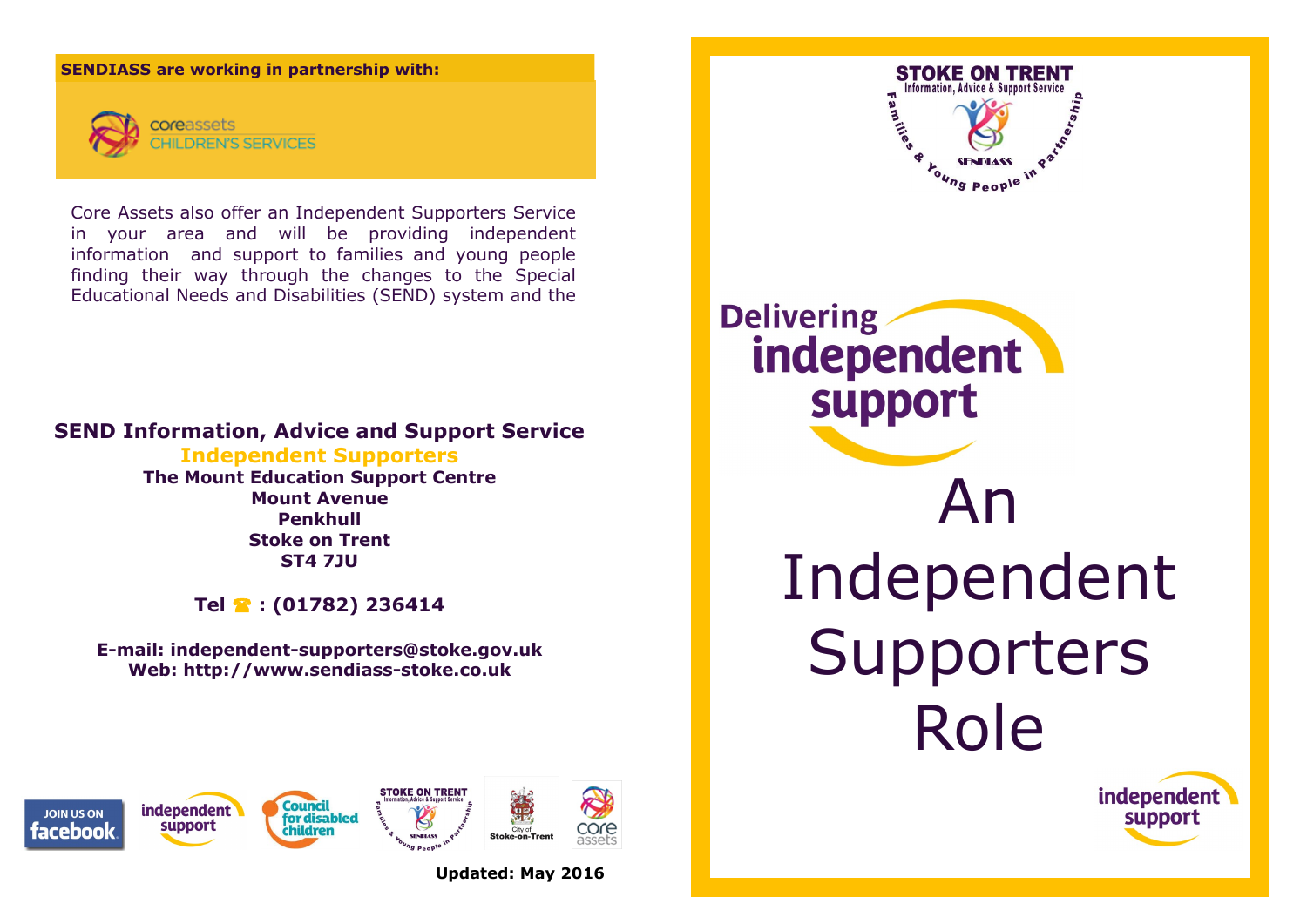## **SENDIASS are working in partnership with:**



**REN'S SERVICES** 

Core Assets also offer an Independent Supporters Service in your area and will be providing independent information and support to families and young people finding their way through the changes to the Special Educational Needs and Disabilities (SEND) system and the

## **SEND Information, Advice and Support Service**

**Independent Supporters The Mount Education Support Centre Mount Avenue Penkhull Stoke on Trent ST4 7JU**

**Tel : (01782) 236414**

**E-mail: independent-supporters@stoke.gov.uk Web: http:/[/www.sendiass-stoke.co.uk](http://www.parent-partnership-stoke.co.uk)**



**Updated: May 2016**